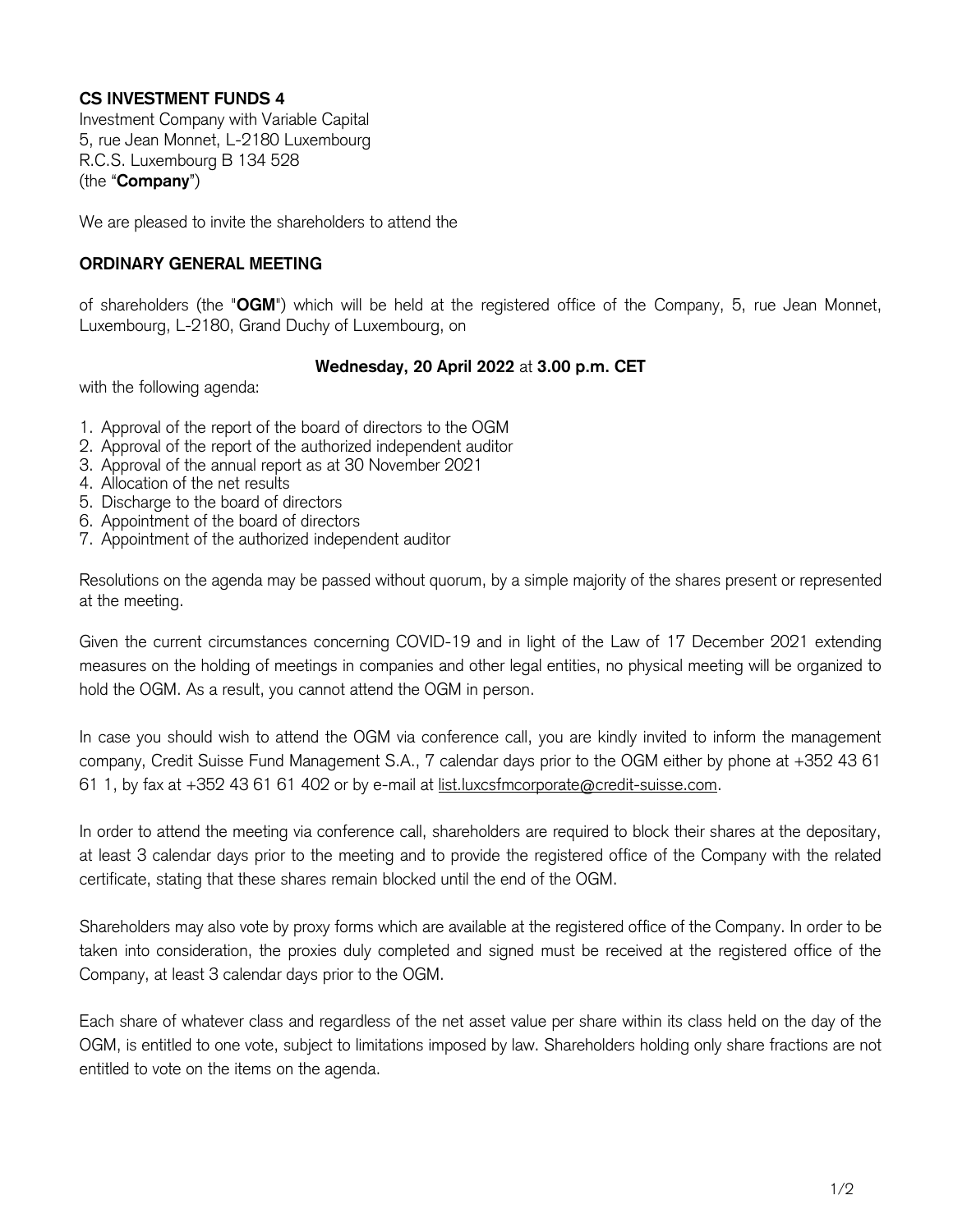## **CS INVESTMENT FUNDS 4**

Investment Company with Variable Capital 5, rue Jean Monnet, L-2180 Luxembourg R.C.S. Luxembourg B 134 528 (the "**Company**")

We are pleased to invite the shareholders to attend the

## **ORDINARY GENERAL MEETING**

of shareholders (the "**OGM**") which will be held at the registered office of the Company, 5, rue Jean Monnet, Luxembourg, L-2180, Grand Duchy of Luxembourg, on

## **Wednesday, 20 April 2022** at **3.00 p.m. CET**

with the following agenda:

- 1. Approval of the report of the board of directors to the OGM
- 2. Approval of the report of the authorized independent auditor
- 3. Approval of the annual report as at 30 November 2021
- 4. Allocation of the net results
- 5. Discharge to the board of directors
- 6. Appointment of the board of directors
- 7. Appointment of the authorized independent auditor

Resolutions on the agenda may be passed without quorum, by a simple majority of the shares present or represented at the meeting.

Given the current circumstances concerning COVID-19 and in light of the Law of 17 December 2021 extending measures on the holding of meetings in companies and other legal entities, no physical meeting will be organized to hold the OGM. As a result, you cannot attend the OGM in person.

In case you should wish to attend the OGM via conference call, you are kindly invited to inform the management company, Credit Suisse Fund Management S.A., 7 calendar days prior to the OGM either by phone at +352 43 61 61 1, by fax at +352 43 61 61 402 or by e-mail at [list.luxcsfmcorporate@credit-suisse.com.](mailto:list.luxcsfmcorporate@credit-suisse.com)

In order to attend the meeting via conference call, shareholders are required to block their shares at the depositary, at least 3 calendar days prior to the meeting and to provide the registered office of the Company with the related certificate, stating that these shares remain blocked until the end of the OGM.

Shareholders may also vote by proxy forms which are available at the registered office of the Company. In order to be taken into consideration, the proxies duly completed and signed must be received at the registered office of the Company, at least 3 calendar days prior to the OGM.

Each share of whatever class and regardless of the net asset value per share within its class held on the day of the OGM, is entitled to one vote, subject to limitations imposed by law. Shareholders holding only share fractions are not entitled to vote on the items on the agenda.